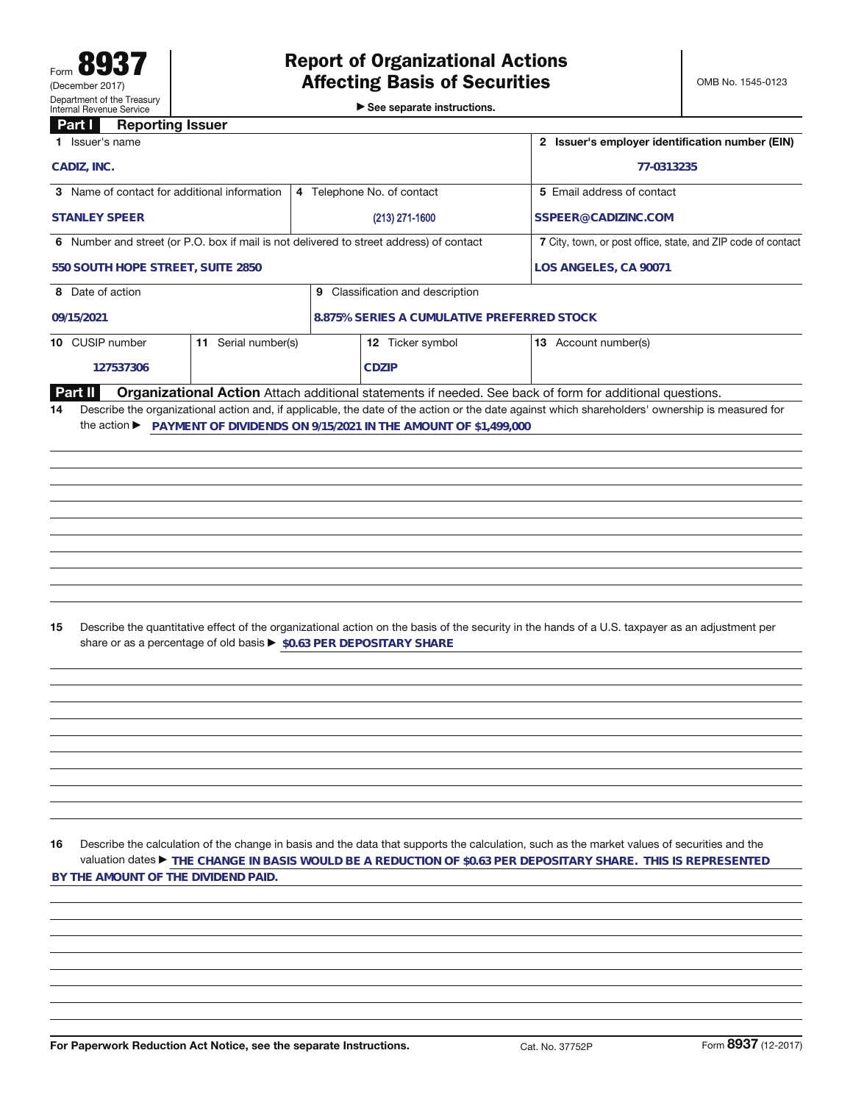See separate instructions.

## **Part I Reporting Issuer**

| . .<br>noporang iooaci<br>1 Issuer's name                                               |                                                                     |                                  | 2 Issuer's employer identification number (EIN)                             |                                                              |                                                                                                                                                                                                                                                               |  |  |  |
|-----------------------------------------------------------------------------------------|---------------------------------------------------------------------|----------------------------------|-----------------------------------------------------------------------------|--------------------------------------------------------------|---------------------------------------------------------------------------------------------------------------------------------------------------------------------------------------------------------------------------------------------------------------|--|--|--|
| CADIZ, INC.                                                                             |                                                                     |                                  | 77-0313235                                                                  |                                                              |                                                                                                                                                                                                                                                               |  |  |  |
| 3 Name of contact for additional information                                            |                                                                     |                                  | 4 Telephone No. of contact                                                  |                                                              | 5 Email address of contact                                                                                                                                                                                                                                    |  |  |  |
| <b>STANLEY SPEER</b>                                                                    |                                                                     |                                  | $(213)$ 271-1600                                                            |                                                              | SSPEER@CADIZINC.COM                                                                                                                                                                                                                                           |  |  |  |
| 6 Number and street (or P.O. box if mail is not delivered to street address) of contact |                                                                     |                                  |                                                                             | 7 City, town, or post office, state, and ZIP code of contact |                                                                                                                                                                                                                                                               |  |  |  |
| 550 SOUTH HOPE STREET, SUITE 2850                                                       |                                                                     |                                  | LOS ANGELES, CA 90071                                                       |                                                              |                                                                                                                                                                                                                                                               |  |  |  |
| 8 Date of action                                                                        |                                                                     | 9 Classification and description |                                                                             |                                                              |                                                                                                                                                                                                                                                               |  |  |  |
| 09/15/2021                                                                              |                                                                     |                                  | 8.875% SERIES A CUMULATIVE PREFERRED STOCK                                  |                                                              |                                                                                                                                                                                                                                                               |  |  |  |
| 10 CUSIP number                                                                         | 11 Serial number(s)                                                 |                                  | 12 Ticker symbol                                                            |                                                              | 13 Account number(s)                                                                                                                                                                                                                                          |  |  |  |
| 127537306                                                                               |                                                                     |                                  | <b>CDZIP</b>                                                                |                                                              |                                                                                                                                                                                                                                                               |  |  |  |
| <b>Part II</b><br>14                                                                    |                                                                     |                                  | the action ▶ PAYMENT OF DIVIDENDS ON 9/15/2021 IN THE AMOUNT OF \$1,499,000 |                                                              | Organizational Action Attach additional statements if needed. See back of form for additional questions.<br>Describe the organizational action and, if applicable, the date of the action or the date against which shareholders' ownership is measured for   |  |  |  |
|                                                                                         |                                                                     |                                  |                                                                             |                                                              |                                                                                                                                                                                                                                                               |  |  |  |
| 15                                                                                      | share or as a percentage of old basis > \$0.63 PER DEPOSITARY SHARE |                                  |                                                                             |                                                              | Describe the quantitative effect of the organizational action on the basis of the security in the hands of a U.S. taxpayer as an adjustment per                                                                                                               |  |  |  |
|                                                                                         |                                                                     |                                  |                                                                             |                                                              |                                                                                                                                                                                                                                                               |  |  |  |
|                                                                                         |                                                                     |                                  |                                                                             |                                                              |                                                                                                                                                                                                                                                               |  |  |  |
|                                                                                         |                                                                     |                                  |                                                                             |                                                              |                                                                                                                                                                                                                                                               |  |  |  |
|                                                                                         |                                                                     |                                  |                                                                             |                                                              |                                                                                                                                                                                                                                                               |  |  |  |
|                                                                                         |                                                                     |                                  |                                                                             |                                                              |                                                                                                                                                                                                                                                               |  |  |  |
| 16<br>BY THE AMOUNT OF THE DIVIDEND PAID.                                               |                                                                     |                                  |                                                                             |                                                              | Describe the calculation of the change in basis and the data that supports the calculation, such as the market values of securities and the<br>valuation dates ► THE CHANGE IN BASIS WOULD BE A REDUCTION OF \$0.63 PER DEPOSITARY SHARE. THIS IS REPRESENTED |  |  |  |
|                                                                                         |                                                                     |                                  |                                                                             |                                                              |                                                                                                                                                                                                                                                               |  |  |  |
|                                                                                         |                                                                     |                                  |                                                                             |                                                              |                                                                                                                                                                                                                                                               |  |  |  |
|                                                                                         |                                                                     |                                  |                                                                             |                                                              |                                                                                                                                                                                                                                                               |  |  |  |
| For Paperwork Reduction Act Notice, see the separate Instructions.                      |                                                                     |                                  |                                                                             | Cat. No. 37752P                                              | Form 8937 (12-2017)                                                                                                                                                                                                                                           |  |  |  |